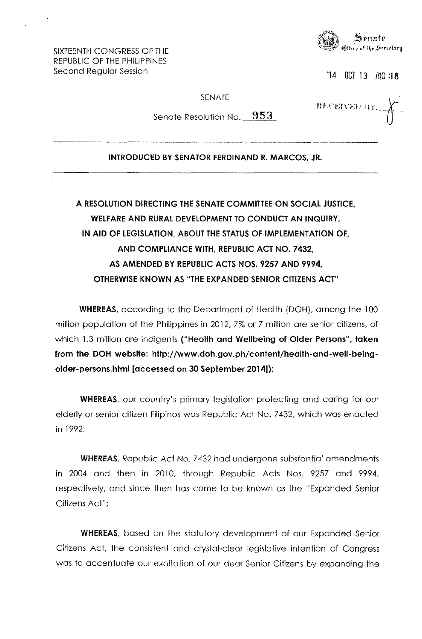e Serretory

'14 OCT 13 AJO **:18** 

RECEIVED BY

SENATE

SIXTEENTH CONGRESS OF THE REPUBLIC OF THE PHILIPPINES Second Regular Session

Senate Resolution No. **953** 

## **INTRODUCED BY SENATOR FERDINAND R. MARCOS, JR.**

## **A RESOLUTION DIRECTING THE SENATE COMMITTEE ON SOCIAL JUSTICE, WELFARE AND RURAL DEVelOPMENT TO CONDUCT AN INQUIRY, IN AID OF LEGISLATION, ABOUT THE STATUS OF IMPLEMENTATION OF, AND COMPLIANCE WITH, REPUBLIC ACT NO. 7432, AS AMENDED BY REPUBLIC ACTS NOS. 9257 AND 9994, OTHERWISE KNOWN AS "THE EXPANDED SENIOR CITIZENS ACT"**

**WHEREAS,** according to the Department of Health (DOH), among the 100 million population of the Philippines in 2012, 7% or 7 million are senior citizens, of which 1.3 million are indigents **("Health and Wellbeing of Older Persons", taken from the DOH website: http://www.doh.gov.ph/content/health-and-well-beingolder-persons.html [accessed on 30 September 2014));** 

**WHEREAS,** our country's primary legislation protecting and caring for our elderly or senior citizen Filipinos was Republic Act NO.7 432, which was enacted in 1992;

**WHEREAS,** Republic Act No. 7432 had undergone substantial amendments in 2004 and then in 2010, through Republic Acts Nos. 9257 and 9994, respectively, and since then has come to be known as the "Expanded Senior Citizens Act";

**WHEREAS,** based on the statutory development of our Expanded Senior . Citizens Act, the consistent and crystal-clear legislative intention of Congress was to accentuate our exaitation of our dear Senior Citizens by expanding the